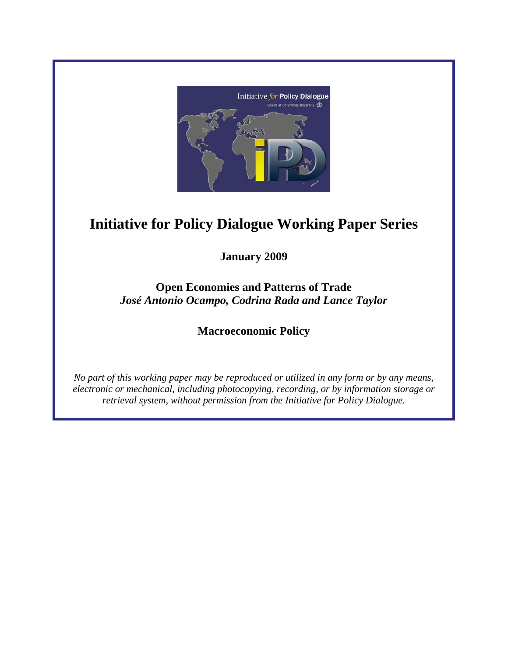

# **Initiative for Policy Dialogue Working Paper Series**

**January 2009** 

**Open Economies and Patterns of Trade**  *José Antonio Ocampo, Codrina Rada and Lance Taylor* 

**Macroeconomic Policy** 

*No part of this working paper may be reproduced or utilized in any form or by any means, electronic or mechanical, including photocopying, recording, or by information storage or retrieval system, without permission from the Initiative for Policy Dialogue.*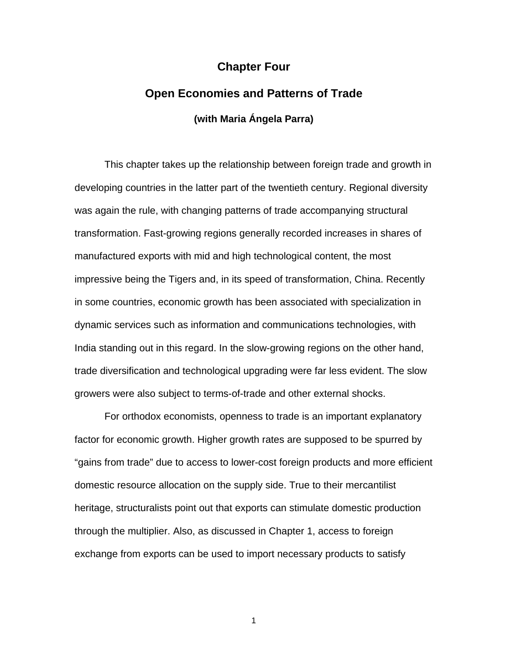#### **Chapter Four**

# **Open Economies and Patterns of Trade (with Maria Ángela Parra)**

 This chapter takes up the relationship between foreign trade and growth in developing countries in the latter part of the twentieth century. Regional diversity was again the rule, with changing patterns of trade accompanying structural transformation. Fast-growing regions generally recorded increases in shares of manufactured exports with mid and high technological content, the most impressive being the Tigers and, in its speed of transformation, China. Recently in some countries, economic growth has been associated with specialization in dynamic services such as information and communications technologies, with India standing out in this regard. In the slow-growing regions on the other hand, trade diversification and technological upgrading were far less evident. The slow growers were also subject to terms-of-trade and other external shocks.

For orthodox economists, openness to trade is an important explanatory factor for economic growth. Higher growth rates are supposed to be spurred by "gains from trade" due to access to lower-cost foreign products and more efficient domestic resource allocation on the supply side. True to their mercantilist heritage, structuralists point out that exports can stimulate domestic production through the multiplier. Also, as discussed in Chapter 1, access to foreign exchange from exports can be used to import necessary products to satisfy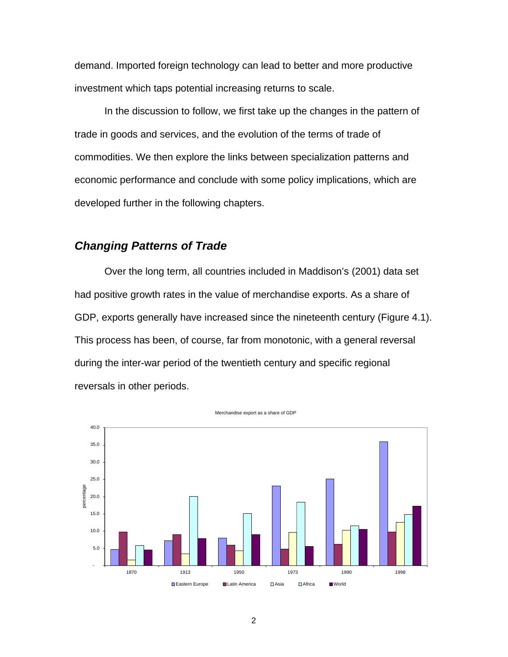demand. Imported foreign technology can lead to better and more productive investment which taps potential increasing returns to scale.

In the discussion to follow, we first take up the changes in the pattern of trade in goods and services, and the evolution of the terms of trade of commodities. We then explore the links between specialization patterns and economic performance and conclude with some policy implications, which are developed further in the following chapters.

#### *Changing Patterns of Trade*

Over the long term, all countries included in Maddison's (2001) data set had positive growth rates in the value of merchandise exports. As a share of GDP, exports generally have increased since the nineteenth century (Figure 4.1). This process has been, of course, far from monotonic, with a general reversal during the inter-war period of the twentieth century and specific regional reversals in other periods.



Merchandise export as a share of GDP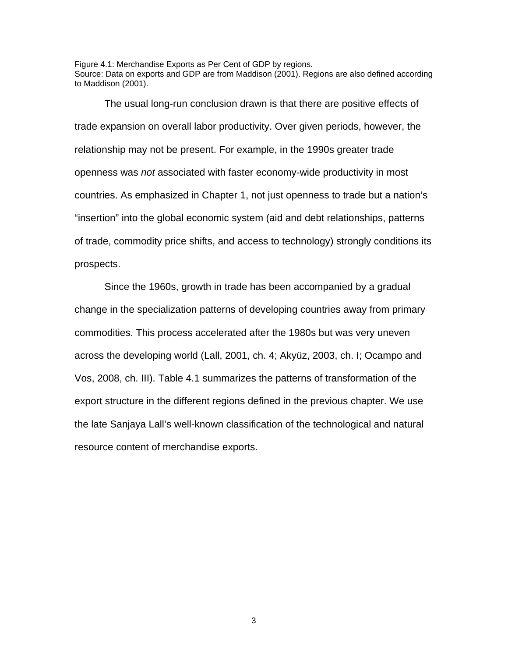Figure 4.1: Merchandise Exports as Per Cent of GDP by regions. Source: Data on exports and GDP are from Maddison (2001). Regions are also defined according to Maddison (2001).

The usual long-run conclusion drawn is that there are positive effects of trade expansion on overall labor productivity. Over given periods, however, the relationship may not be present. For example, in the 1990s greater trade openness was *not* associated with faster economy-wide productivity in most countries. As emphasized in Chapter 1, not just openness to trade but a nation's "insertion" into the global economic system (aid and debt relationships, patterns of trade, commodity price shifts, and access to technology) strongly conditions its prospects.

Since the 1960s, growth in trade has been accompanied by a gradual change in the specialization patterns of developing countries away from primary commodities. This process accelerated after the 1980s but was very uneven across the developing world (Lall, 2001, ch. 4; Akyüz, 2003, ch. I; Ocampo and Vos, 2008, ch. III). Table 4.1 summarizes the patterns of transformation of the export structure in the different regions defined in the previous chapter. We use the late Sanjaya Lall's well-known classification of the technological and natural resource content of merchandise exports.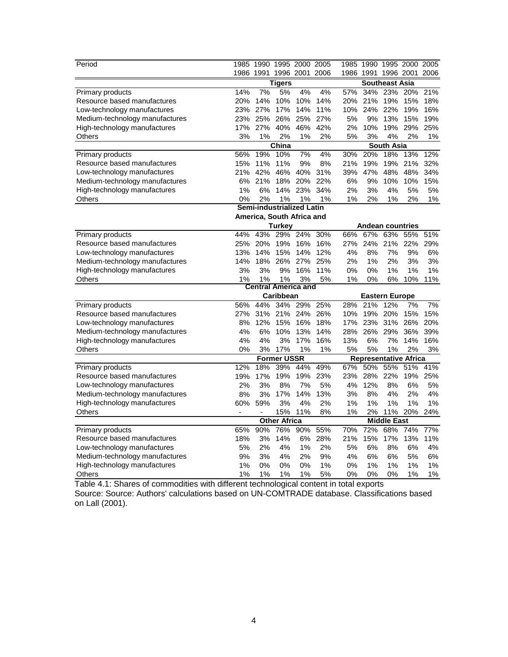| Period                         |                                           | 1985 1990 1995 2000 2005  |                    |         |     |       | 1985 1990 1995 2000 2005     |                       |         |      |
|--------------------------------|-------------------------------------------|---------------------------|--------------------|---------|-----|-------|------------------------------|-----------------------|---------|------|
|                                |                                           | 1986 1991 1996 2001 2006  |                    |         |     |       | 1986 1991 1996 2001          |                       |         | 2006 |
|                                | <b>Southeast Asia</b><br><b>Tigers</b>    |                           |                    |         |     |       |                              |                       |         |      |
| <b>Primary products</b>        | 14%                                       | 7%                        | 5%                 | 4%      | 4%  | 57%   | 34%                          | 23%                   | 20%     | 21%  |
| Resource based manufactures    | 20%                                       | 14%                       | 10%                | 10%     | 14% | 20%   | 21%                          | 19%                   | 15%     | 18%  |
| Low-technology manufactures    | 23%                                       | 27%                       | 17%                | 14%     | 11% | 10%   | 24%                          | 22%                   | 19%     | 16%  |
| Medium-technology manufactures | 23%                                       | 25%                       | 26%                | 25%     | 27% | 5%    | 9%                           | 13%                   | 15%     | 19%  |
| High-technology manufactures   | 17%                                       | 27%                       | 40%                | 46%     | 42% | 2%    | 10%                          |                       | 19% 29% | 25%  |
| Others                         | 3%                                        | 1%                        | 2%                 | 1%      | 2%  | 5%    | 3%                           | 4%                    | 2%      | 1%   |
|                                |                                           |                           | China              |         |     |       |                              | South Asia            |         |      |
| Primary products               | 56%                                       | 19%                       | 10%                | 7%      | 4%  | 30%   | 20%                          | 18%                   | 13%     | 12%  |
| Resource based manufactures    | 15%                                       | 11%                       | 11%                | 9%      | 8%  | 21%   | 19%                          | 19%                   | 21%     | 32%  |
| Low-technology manufactures    | 21%                                       | 42%                       | 46%                | 40%     | 31% | 39%   | 47%                          | 48%                   | 48%     | 34%  |
| Medium-technology manufactures | 6%                                        | 21%                       | 18%                | 20%     | 22% | 6%    | 9%                           | 10%                   | 10%     | 15%  |
| High-technology manufactures   | 1%                                        | 6%                        |                    | 14% 23% | 34% | 2%    | 3%                           | 4%                    | 5%      | 5%   |
| Others                         | 0%                                        | 2%                        | 1%                 | 1%      | 1%  | 1%    | 2%                           | 1%                    | 2%      | 1%   |
|                                |                                           | Semi-industrialized Latin |                    |         |     |       |                              |                       |         |      |
|                                |                                           | America, South Africa and |                    |         |     |       |                              |                       |         |      |
|                                |                                           |                           | Turkey             |         |     |       | <b>Andean countries</b>      |                       |         |      |
| Primary products               | 44%                                       | 43%                       |                    | 29% 24% | 30% | 66%   | 67%                          | 63%                   | 55%     | 51%  |
| Resource based manufactures    | 25%                                       | 20%                       | 19%                | 16%     | 16% | 27%   | 24%                          | 21%                   | 22%     | 29%  |
| Low-technology manufactures    | 13%                                       | 14%                       | 15%                | 14%     | 12% | 4%    | 8%                           | 7%                    | 9%      | 6%   |
| Medium-technology manufactures | 14%                                       | 18%                       | 26%                | 27%     | 25% | 2%    | 1%                           | 2%                    | 3%      | 3%   |
| High-technology manufactures   | 3%                                        | 3%                        | 9%                 | 16%     | 11% | 0%    | 0%                           | 1%                    | 1%      | 1%   |
| Others                         | 1%                                        | 1%                        | 1%                 | 3%      | 5%  | 1%    | 0%                           | 6%                    | 10%     | 11%  |
|                                |                                           | Central America and       |                    |         |     |       |                              |                       |         |      |
|                                |                                           |                           | Caribbean          |         |     |       |                              | <b>Eastern Europe</b> |         |      |
| Primary products               | 56%                                       | 44%                       | 34%                | 29%     | 25% | 28%   | 21%                          | 12%                   | 7%      | 7%   |
| Resource based manufactures    | 27%                                       | 31%                       |                    | 21% 24% | 26% | 10%   | 19%                          | 20%                   | 15%     | 15%  |
| Low-technology manufactures    | 8%                                        | 12%                       | 15%                | 16%     | 18% | 17%   | 23%                          | 31%                   | 26%     | 20%  |
| Medium-technology manufactures | 4%                                        | 6%                        | 10%                | 13%     | 14% | 28%   | 26%                          | 29%                   | 36%     | 39%  |
| High-technology manufactures   | 4%                                        | 4%                        | 3%                 | 17%     | 16% | 13%   | 6%                           | 7%                    | 14%     | 16%  |
| Others                         | 0%                                        | 3%                        | 17%                | 1%      | 1%  | 5%    | 5%                           | 1%                    | 2%      | 3%   |
|                                |                                           |                           | <b>Former USSR</b> |         |     |       | <b>Representative Africa</b> |                       |         |      |
| Primary products               | 12%                                       | 18%                       | 39%                | 44%     | 49% | 67%   | 50%                          | 55%                   | 51%     | 41%  |
| Resource based manufactures    | 19%                                       | 17%                       | 19%                | 19%     | 23% | 23%   | 28%                          | 22%                   | 19%     | 25%  |
| Low-technology manufactures    | 2%                                        | 3%                        | 8%                 | 7%      | 5%  | 4%    | 12%                          | 8%                    | 6%      | 5%   |
| Medium-technology manufactures | 8%                                        | 3%                        | 17%                | 14%     | 13% | 3%    | 8%                           | 4%                    | 2%      | 4%   |
| High-technology manufactures   | 60%                                       | 59%                       | 3%                 | 4%      | 2%  | 1%    | 1%                           | 1%                    | 1%      | 1%   |
| Others                         | $\blacksquare$                            | $\blacksquare$            | 15%                | 11%     | 8%  | 1%    | 2%                           | 11%                   | 20%     | 24%  |
|                                | <b>Middle East</b><br><b>Other Africa</b> |                           |                    |         |     |       |                              |                       |         |      |
| Primary products               | 65%                                       | 90%                       | 76%                | 90%     | 55% | 70%   | 72%                          | 68%                   | 74%     | 77%  |
| Resource based manufactures    | 18%                                       | 3%                        | 14%                | 6%      | 28% | 21%   | 15%                          | 17%                   | 13%     | 11%  |
| Low-technology manufactures    | 5%                                        | 2%                        | 4%                 | 1%      | 2%  | 5%    | 6%                           | 8%                    | 6%      | 4%   |
| Medium-technology manufactures | 9%                                        | 3%                        | 4%                 | 2%      | 9%  | 4%    | 6%                           | 6%                    | 5%      | 6%   |
| High-technology manufactures   | 1%                                        | 0%                        | 0%                 | 0%      | 1%  | 0%    | 1%                           | 1%                    | 1%      | 1%   |
| Others                         | 1%                                        | 1%                        | 1%                 | 1%      | 5%  | $0\%$ | 0%                           | 0%                    | 1%      | 1%   |

Table 4.1: Shares of commodities with different technological content in total exports Source: Source: Authors' calculations based on UN-COMTRADE database. Classifications based on Lall (2001).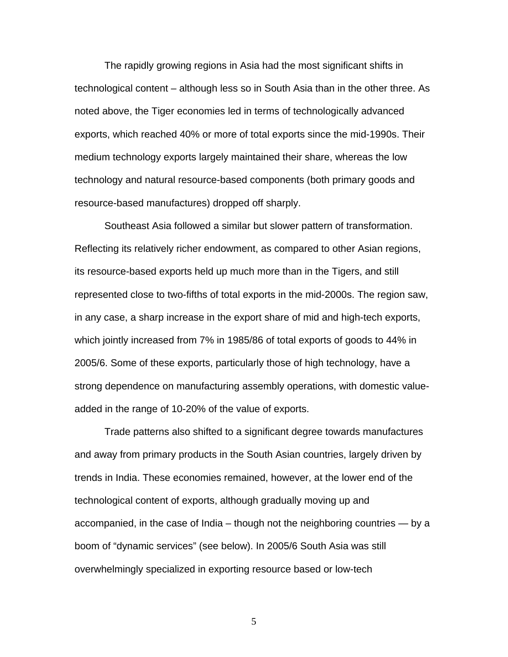The rapidly growing regions in Asia had the most significant shifts in technological content – although less so in South Asia than in the other three. As noted above, the Tiger economies led in terms of technologically advanced exports, which reached 40% or more of total exports since the mid-1990s. Their medium technology exports largely maintained their share, whereas the low technology and natural resource-based components (both primary goods and resource-based manufactures) dropped off sharply.

Southeast Asia followed a similar but slower pattern of transformation. Reflecting its relatively richer endowment, as compared to other Asian regions, its resource-based exports held up much more than in the Tigers, and still represented close to two-fifths of total exports in the mid-2000s. The region saw, in any case, a sharp increase in the export share of mid and high-tech exports, which jointly increased from 7% in 1985/86 of total exports of goods to 44% in 2005/6. Some of these exports, particularly those of high technology, have a strong dependence on manufacturing assembly operations, with domestic valueadded in the range of 10-20% of the value of exports.

Trade patterns also shifted to a significant degree towards manufactures and away from primary products in the South Asian countries, largely driven by trends in India. These economies remained, however, at the lower end of the technological content of exports, although gradually moving up and accompanied, in the case of India – though not the neighboring countries — by a boom of "dynamic services" (see below). In 2005/6 South Asia was still overwhelmingly specialized in exporting resource based or low-tech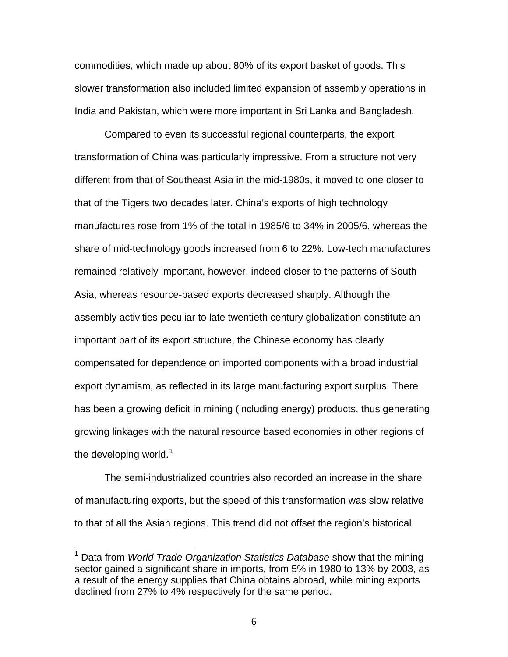commodities, which made up about 80% of its export basket of goods. This slower transformation also included limited expansion of assembly operations in India and Pakistan, which were more important in Sri Lanka and Bangladesh.

Compared to even its successful regional counterparts, the export transformation of China was particularly impressive. From a structure not very different from that of Southeast Asia in the mid-1980s, it moved to one closer to that of the Tigers two decades later. China's exports of high technology manufactures rose from 1% of the total in 1985/6 to 34% in 2005/6, whereas the share of mid-technology goods increased from 6 to 22%. Low-tech manufactures remained relatively important, however, indeed closer to the patterns of South Asia, whereas resource-based exports decreased sharply. Although the assembly activities peculiar to late twentieth century globalization constitute an important part of its export structure, the Chinese economy has clearly compensated for dependence on imported components with a broad industrial export dynamism, as reflected in its large manufacturing export surplus. There has been a growing deficit in mining (including energy) products, thus generating growing linkages with the natural resource based economies in other regions of the developing world. $1$ 

The semi-industrialized countries also recorded an increase in the share of manufacturing exports, but the speed of this transformation was slow relative to that of all the Asian regions. This trend did not offset the region's historical

 $\overline{a}$ 

<span id="page-6-0"></span><sup>1</sup> Data from *World Trade Organization Statistics Database* show that the mining sector gained a significant share in imports, from 5% in 1980 to 13% by 2003, as a result of the energy supplies that China obtains abroad, while mining exports declined from 27% to 4% respectively for the same period.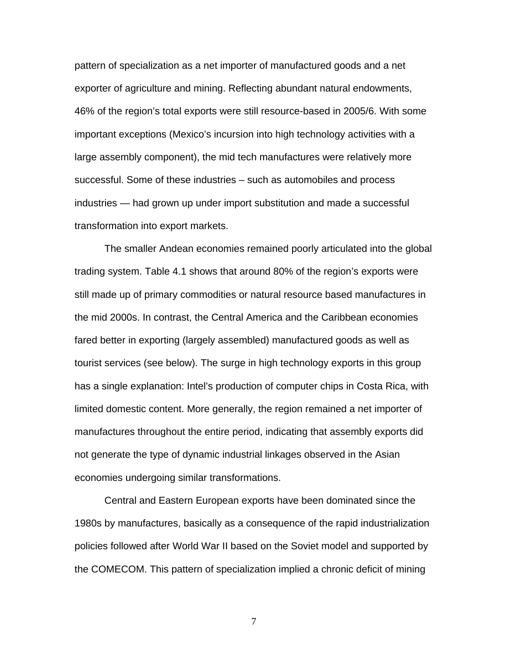pattern of specialization as a net importer of manufactured goods and a net exporter of agriculture and mining. Reflecting abundant natural endowments, 46% of the region's total exports were still resource-based in 2005/6. With some important exceptions (Mexico's incursion into high technology activities with a large assembly component), the mid tech manufactures were relatively more successful. Some of these industries – such as automobiles and process industries — had grown up under import substitution and made a successful transformation into export markets.

The smaller Andean economies remained poorly articulated into the global trading system. Table 4.1 shows that around 80% of the region's exports were still made up of primary commodities or natural resource based manufactures in the mid 2000s. In contrast, the Central America and the Caribbean economies fared better in exporting (largely assembled) manufactured goods as well as tourist services (see below). The surge in high technology exports in this group has a single explanation: Intel's production of computer chips in Costa Rica, with limited domestic content. More generally, the region remained a net importer of manufactures throughout the entire period, indicating that assembly exports did not generate the type of dynamic industrial linkages observed in the Asian economies undergoing similar transformations.

 Central and Eastern European exports have been dominated since the 1980s by manufactures, basically as a consequence of the rapid industrialization policies followed after World War II based on the Soviet model and supported by the COMECOM. This pattern of specialization implied a chronic deficit of mining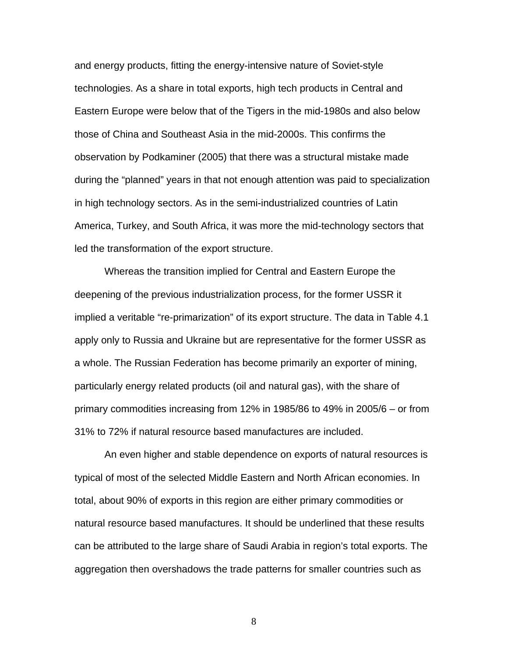and energy products, fitting the energy-intensive nature of Soviet-style technologies. As a share in total exports, high tech products in Central and Eastern Europe were below that of the Tigers in the mid-1980s and also below those of China and Southeast Asia in the mid-2000s. This confirms the observation by Podkaminer (2005) that there was a structural mistake made during the "planned" years in that not enough attention was paid to specialization in high technology sectors. As in the semi-industrialized countries of Latin America, Turkey, and South Africa, it was more the mid-technology sectors that led the transformation of the export structure.

Whereas the transition implied for Central and Eastern Europe the deepening of the previous industrialization process, for the former USSR it implied a veritable "re-primarization" of its export structure. The data in Table 4.1 apply only to Russia and Ukraine but are representative for the former USSR as a whole. The Russian Federation has become primarily an exporter of mining, particularly energy related products (oil and natural gas), with the share of primary commodities increasing from 12% in 1985/86 to 49% in 2005/6 – or from 31% to 72% if natural resource based manufactures are included.

An even higher and stable dependence on exports of natural resources is typical of most of the selected Middle Eastern and North African economies. In total, about 90% of exports in this region are either primary commodities or natural resource based manufactures. It should be underlined that these results can be attributed to the large share of Saudi Arabia in region's total exports. The aggregation then overshadows the trade patterns for smaller countries such as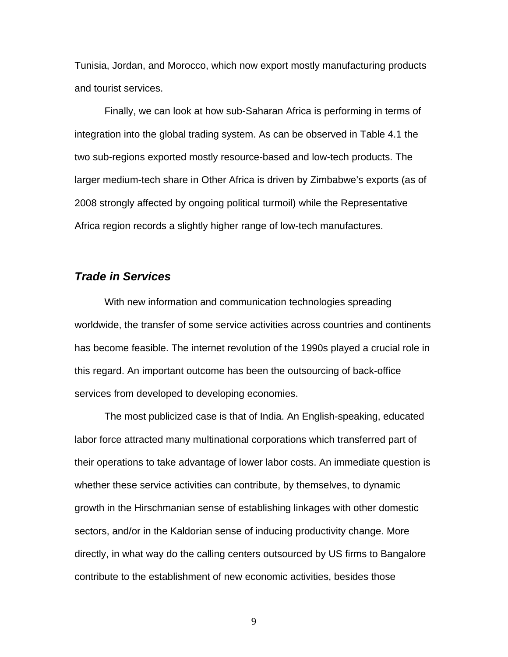Tunisia, Jordan, and Morocco, which now export mostly manufacturing products and tourist services.

Finally, we can look at how sub-Saharan Africa is performing in terms of integration into the global trading system. As can be observed in Table 4.1 the two sub-regions exported mostly resource-based and low-tech products. The larger medium-tech share in Other Africa is driven by Zimbabwe's exports (as of 2008 strongly affected by ongoing political turmoil) while the Representative Africa region records a slightly higher range of low-tech manufactures.

#### *Trade in Services*

With new information and communication technologies spreading worldwide, the transfer of some service activities across countries and continents has become feasible. The internet revolution of the 1990s played a crucial role in this regard. An important outcome has been the outsourcing of back-office services from developed to developing economies.

The most publicized case is that of India. An English-speaking, educated labor force attracted many multinational corporations which transferred part of their operations to take advantage of lower labor costs. An immediate question is whether these service activities can contribute, by themselves, to dynamic growth in the Hirschmanian sense of establishing linkages with other domestic sectors, and/or in the Kaldorian sense of inducing productivity change. More directly, in what way do the calling centers outsourced by US firms to Bangalore contribute to the establishment of new economic activities, besides those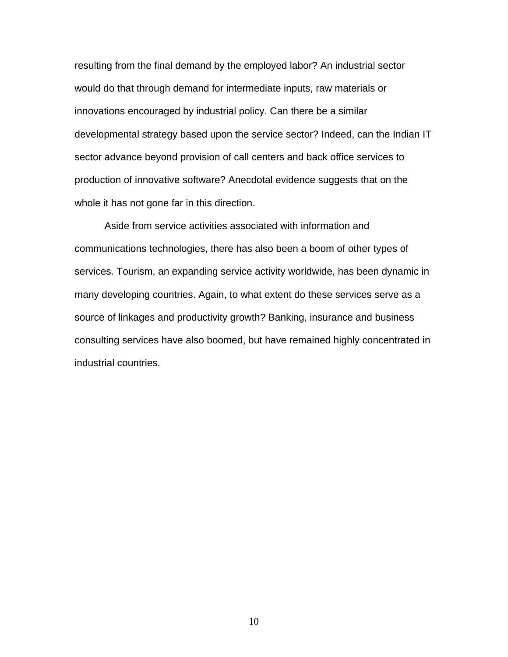resulting from the final demand by the employed labor? An industrial sector would do that through demand for intermediate inputs, raw materials or innovations encouraged by industrial policy. Can there be a similar developmental strategy based upon the service sector? Indeed, can the Indian IT sector advance beyond provision of call centers and back office services to production of innovative software? Anecdotal evidence suggests that on the whole it has not gone far in this direction.

Aside from service activities associated with information and communications technologies, there has also been a boom of other types of services. Tourism, an expanding service activity worldwide, has been dynamic in many developing countries. Again, to what extent do these services serve as a source of linkages and productivity growth? Banking, insurance and business consulting services have also boomed, but have remained highly concentrated in industrial countries.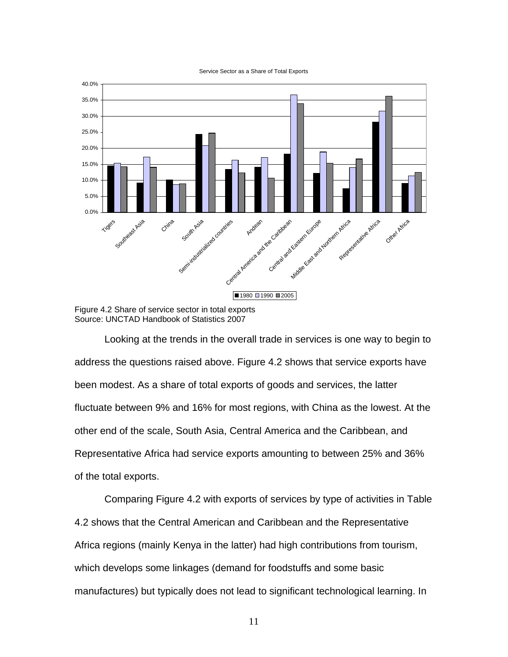Service Sector as a Share of Total Exports



Figure 4.2 Share of service sector in total exports Source: UNCTAD Handbook of Statistics 2007

Looking at the trends in the overall trade in services is one way to begin to address the questions raised above. Figure 4.2 shows that service exports have been modest. As a share of total exports of goods and services, the latter fluctuate between 9% and 16% for most regions, with China as the lowest. At the other end of the scale, South Asia, Central America and the Caribbean, and Representative Africa had service exports amounting to between 25% and 36% of the total exports.

Comparing Figure 4.2 with exports of services by type of activities in Table 4.2 shows that the Central American and Caribbean and the Representative Africa regions (mainly Kenya in the latter) had high contributions from tourism, which develops some linkages (demand for foodstuffs and some basic manufactures) but typically does not lead to significant technological learning. In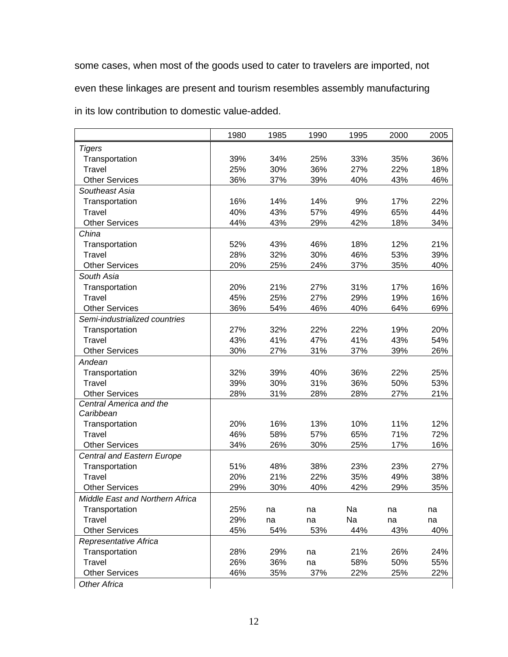some cases, when most of the goods used to cater to travelers are imported, not even these linkages are present and tourism resembles assembly manufacturing in its low contribution to domestic value-added.

|                                 | 1980 | 1985 | 1990 | 1995 | 2000 | 2005 |
|---------------------------------|------|------|------|------|------|------|
| <b>Tigers</b>                   |      |      |      |      |      |      |
| Transportation                  | 39%  | 34%  | 25%  | 33%  | 35%  | 36%  |
| <b>Travel</b>                   | 25%  | 30%  | 36%  | 27%  | 22%  | 18%  |
| <b>Other Services</b>           | 36%  | 37%  | 39%  | 40%  | 43%  | 46%  |
| Southeast Asia                  |      |      |      |      |      |      |
| Transportation                  | 16%  | 14%  | 14%  | 9%   | 17%  | 22%  |
| Travel                          | 40%  | 43%  | 57%  | 49%  | 65%  | 44%  |
| <b>Other Services</b>           | 44%  | 43%  | 29%  | 42%  | 18%  | 34%  |
| China                           |      |      |      |      |      |      |
| Transportation                  | 52%  | 43%  | 46%  | 18%  | 12%  | 21%  |
| Travel                          | 28%  | 32%  | 30%  | 46%  | 53%  | 39%  |
| <b>Other Services</b>           | 20%  | 25%  | 24%  | 37%  | 35%  | 40%  |
| South Asia                      |      |      |      |      |      |      |
| Transportation                  | 20%  | 21%  | 27%  | 31%  | 17%  | 16%  |
| <b>Travel</b>                   | 45%  | 25%  | 27%  | 29%  | 19%  | 16%  |
| <b>Other Services</b>           | 36%  | 54%  | 46%  | 40%  | 64%  | 69%  |
| Semi-industrialized countries   |      |      |      |      |      |      |
| Transportation                  | 27%  | 32%  | 22%  | 22%  | 19%  | 20%  |
| <b>Travel</b>                   | 43%  | 41%  | 47%  | 41%  | 43%  | 54%  |
| <b>Other Services</b>           | 30%  | 27%  | 31%  | 37%  | 39%  | 26%  |
| Andean                          |      |      |      |      |      |      |
| Transportation                  | 32%  | 39%  | 40%  | 36%  | 22%  | 25%  |
| <b>Travel</b>                   | 39%  | 30%  | 31%  | 36%  | 50%  | 53%  |
| <b>Other Services</b>           | 28%  | 31%  | 28%  | 28%  | 27%  | 21%  |
| Central America and the         |      |      |      |      |      |      |
| Caribbean                       |      |      |      |      |      |      |
| Transportation                  | 20%  | 16%  | 13%  | 10%  | 11%  | 12%  |
| Travel                          | 46%  | 58%  | 57%  | 65%  | 71%  | 72%  |
| <b>Other Services</b>           | 34%  | 26%  | 30%  | 25%  | 17%  | 16%  |
| Central and Eastern Europe      |      |      |      |      |      |      |
| Transportation                  | 51%  | 48%  | 38%  | 23%  | 23%  | 27%  |
| <b>Travel</b>                   | 20%  | 21%  | 22%  | 35%  | 49%  | 38%  |
| <b>Other Services</b>           | 29%  | 30%  | 40%  | 42%  | 29%  | 35%  |
| Middle East and Northern Africa |      |      |      |      |      |      |
| Transportation                  | 25%  | na   | na   | Na   | na   | na   |
| <b>Travel</b>                   | 29%  | na   | na   | Na   | na   | na   |
| <b>Other Services</b>           | 45%  | 54%  | 53%  | 44%  | 43%  | 40%  |
| Representative Africa           |      |      |      |      |      |      |
| Transportation                  | 28%  | 29%  | na   | 21%  | 26%  | 24%  |
| <b>Travel</b>                   | 26%  | 36%  | na   | 58%  | 50%  | 55%  |
| <b>Other Services</b>           | 46%  | 35%  | 37%  | 22%  | 25%  | 22%  |
| <b>Other Africa</b>             |      |      |      |      |      |      |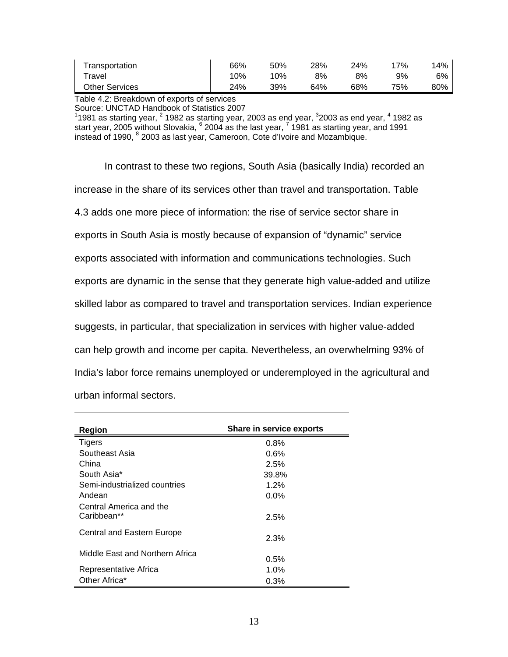| Transportation | 66% | 50% | 28% | 24% | 7%  | 14% |
|----------------|-----|-----|-----|-----|-----|-----|
| ™ravel         | 10% | 10% | 8%  | 8%  | 9%  | 6%  |
| Other Services | 24% | 39% | 64% | 68% | 75% | 80% |

Table 4.2: Breakdown of exports of services

Source: UNCTAD Handbook of Statistics 2007<br><sup>1</sup>1981 as starting year, <sup>2</sup> 1982 as starting year, 2003 as end year, <sup>3</sup>2003 as end year, <sup>4</sup> 1982 as start year, 2005 without Slovakia,  $^6$  2004 as the last year,  $^7$  1981 as starting year, and 1991 instead of 1990, <sup>8</sup> 2003 as last year, Cameroon, Cote d'Ivoire and Mozambique.

In contrast to these two regions, South Asia (basically India) recorded an increase in the share of its services other than travel and transportation. Table 4.3 adds one more piece of information: the rise of service sector share in exports in South Asia is mostly because of expansion of "dynamic" service exports associated with information and communications technologies. Such exports are dynamic in the sense that they generate high value-added and utilize skilled labor as compared to travel and transportation services. Indian experience suggests, in particular, that specialization in services with higher value-added can help growth and income per capita. Nevertheless, an overwhelming 93% of India's labor force remains unemployed or underemployed in the agricultural and urban informal sectors.

| Region                                 | Share in service exports |
|----------------------------------------|--------------------------|
| Tigers                                 | 0.8%                     |
| Southeast Asia                         | 0.6%                     |
| China                                  | 2.5%                     |
| South Asia*                            | 39.8%                    |
| Semi-industrialized countries          | $1.2\%$                  |
| Andean                                 | $0.0\%$                  |
| Central America and the<br>Caribbean** | 2.5%                     |
| Central and Eastern Europe             | 2.3%                     |
| Middle East and Northern Africa        | 0.5%                     |
| Representative Africa                  | $1.0\%$                  |
| Other Africa*                          | 0.3%                     |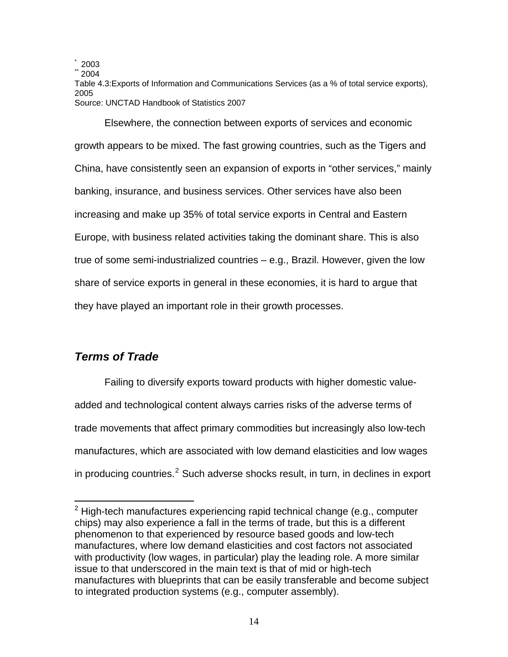2003<br>2004

Table 4.3:Exports of Information and Communications Services (as a % of total service exports), 2005 Source: UNCTAD Handbook of Statistics 2007

Elsewhere, the connection between exports of services and economic growth appears to be mixed. The fast growing countries, such as the Tigers and China, have consistently seen an expansion of exports in "other services," mainly banking, insurance, and business services. Other services have also been increasing and make up 35% of total service exports in Central and Eastern Europe, with business related activities taking the dominant share. This is also true of some semi-industrialized countries – e.g., Brazil. However, given the low share of service exports in general in these economies, it is hard to argue that they have played an important role in their growth processes.

## *Terms of Trade*

 $\overline{a}$ 

Failing to diversify exports toward products with higher domestic valueadded and technological content always carries risks of the adverse terms of trade movements that affect primary commodities but increasingly also low-tech manufactures, which are associated with low demand elasticities and low wages in producing countries. $2$  Such adverse shocks result, in turn, in declines in export

<span id="page-14-0"></span> $2$  High-tech manufactures experiencing rapid technical change (e.g., computer chips) may also experience a fall in the terms of trade, but this is a different phenomenon to that experienced by resource based goods and low-tech manufactures, where low demand elasticities and cost factors not associated with productivity (low wages, in particular) play the leading role. A more similar issue to that underscored in the main text is that of mid or high-tech manufactures with blueprints that can be easily transferable and become subject to integrated production systems (e.g., computer assembly).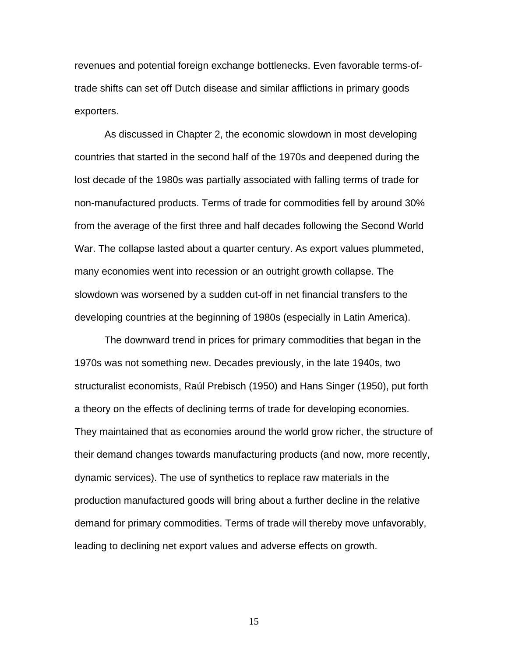revenues and potential foreign exchange bottlenecks. Even favorable terms-oftrade shifts can set off Dutch disease and similar afflictions in primary goods exporters.

As discussed in Chapter 2, the economic slowdown in most developing countries that started in the second half of the 1970s and deepened during the lost decade of the 1980s was partially associated with falling terms of trade for non-manufactured products. Terms of trade for commodities fell by around 30% from the average of the first three and half decades following the Second World War. The collapse lasted about a quarter century. As export values plummeted, many economies went into recession or an outright growth collapse. The slowdown was worsened by a sudden cut-off in net financial transfers to the developing countries at the beginning of 1980s (especially in Latin America).

The downward trend in prices for primary commodities that began in the 1970s was not something new. Decades previously, in the late 1940s, two structuralist economists, Raúl Prebisch (1950) and Hans Singer (1950), put forth a theory on the effects of declining terms of trade for developing economies. They maintained that as economies around the world grow richer, the structure of their demand changes towards manufacturing products (and now, more recently, dynamic services). The use of synthetics to replace raw materials in the production manufactured goods will bring about a further decline in the relative demand for primary commodities. Terms of trade will thereby move unfavorably, leading to declining net export values and adverse effects on growth.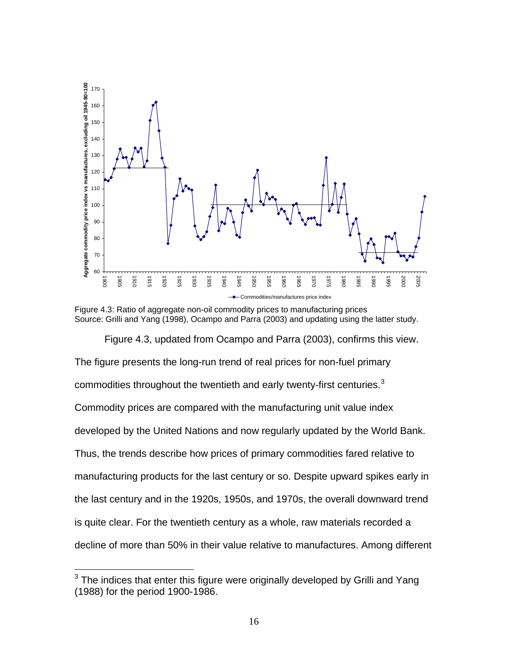

Figure 4.3: Ratio of aggregate non-oil commodity prices to manufacturing prices Source: Grilli and Yang (1998), Ocampo and Parra (2003) and updating using the latter study.

Figure 4.3, updated from Ocampo and Parra (2003), confirms this view. The figure presents the long-run trend of real prices for non-fuel primary commodities throughout the twentieth and early twenty-first centuries.Commodity prices are compared with the manufacturing unit value index developed by the United Nations and now regularly updated by the World Bank. Thus, the trends describe how prices of primary commodities fared relative to manufacturing products for the last century or so. Despite upward spikes early in the last century and in the 1920s, 1950s, and 1970s, the overall downward trend is quite clear. For the twentieth century as a whole, raw materials recorded a decline of more than 50% in their value relative to manufactures. Among different

<span id="page-16-0"></span> The indices that enter this figure were originally developed by Grilli and Yang (1988) for the period 1900-1986.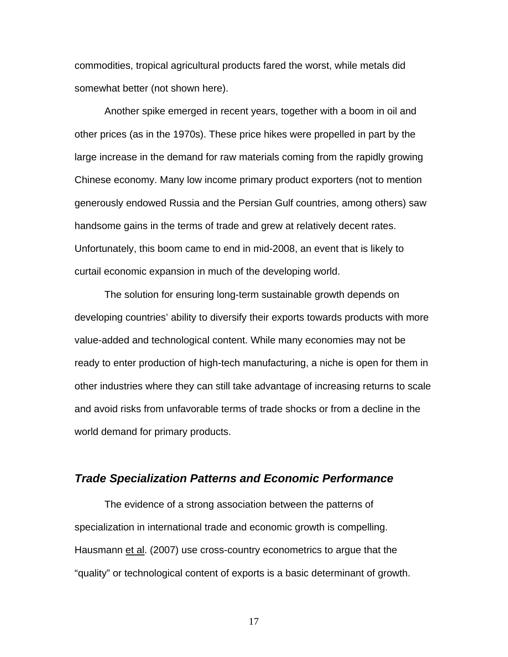commodities, tropical agricultural products fared the worst, while metals did somewhat better (not shown here).

Another spike emerged in recent years, together with a boom in oil and other prices (as in the 1970s). These price hikes were propelled in part by the large increase in the demand for raw materials coming from the rapidly growing Chinese economy. Many low income primary product exporters (not to mention generously endowed Russia and the Persian Gulf countries, among others) saw handsome gains in the terms of trade and grew at relatively decent rates. Unfortunately, this boom came to end in mid-2008, an event that is likely to curtail economic expansion in much of the developing world.

The solution for ensuring long-term sustainable growth depends on developing countries' ability to diversify their exports towards products with more value-added and technological content. While many economies may not be ready to enter production of high-tech manufacturing, a niche is open for them in other industries where they can still take advantage of increasing returns to scale and avoid risks from unfavorable terms of trade shocks or from a decline in the world demand for primary products.

#### *Trade Specialization Patterns and Economic Performance*

The evidence of a strong association between the patterns of specialization in international trade and economic growth is compelling. Hausmann et al. (2007) use cross-country econometrics to argue that the "quality" or technological content of exports is a basic determinant of growth.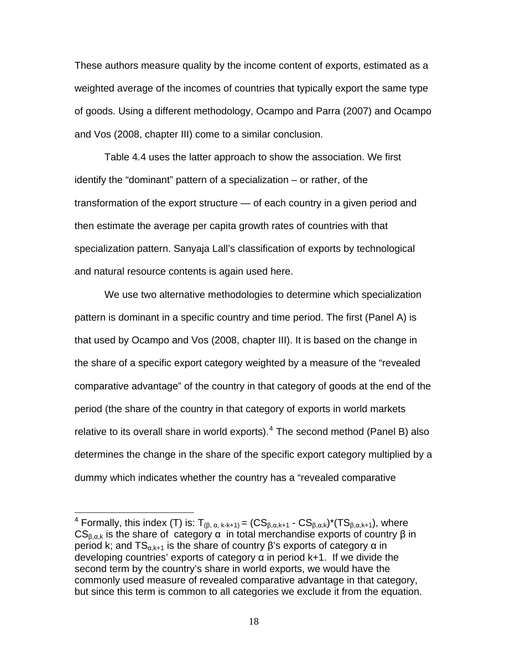These authors measure quality by the income content of exports, estimated as a weighted average of the incomes of countries that typically export the same type of goods. Using a different methodology, Ocampo and Parra (2007) and Ocampo and Vos (2008, chapter III) come to a similar conclusion.

Table 4.4 uses the latter approach to show the association. We first identify the "dominant" pattern of a specialization – or rather, of the transformation of the export structure — of each country in a given period and then estimate the average per capita growth rates of countries with that specialization pattern. Sanyaja Lall's classification of exports by technological and natural resource contents is again used here.

We use two alternative methodologies to determine which specialization pattern is dominant in a specific country and time period. The first (Panel A) is that used by Ocampo and Vos (2008, chapter III). It is based on the change in the share of a specific export category weighted by a measure of the "revealed comparative advantage" of the country in that category of goods at the end of the period (the share of the country in that category of exports in world markets relative to its overall share in world exports). $<sup>4</sup>$  $<sup>4</sup>$  $<sup>4</sup>$  The second method (Panel B) also</sup> determines the change in the share of the specific export category multiplied by a dummy which indicates whether the country has a "revealed comparative

 $\overline{a}$ 

<span id="page-18-0"></span><sup>&</sup>lt;sup>4</sup> Formally, this index (T) is:  $T_{(\beta, \alpha, k+k+1)} = (CS_{\beta, \alpha, k+1} - CS_{\beta, \alpha, k})^*(TS_{\beta, \alpha, k+1})$ , where  $CS_{B, \alpha k}$  is the share of category  $\alpha$  in total merchandise exports of country  $\beta$  in period k; and  $TS_{\alpha,k+1}$  is the share of country β's exports of category  $\alpha$  in developing countries' exports of category  $\alpha$  in period k+1. If we divide the second term by the country's share in world exports, we would have the commonly used measure of revealed comparative advantage in that category, but since this term is common to all categories we exclude it from the equation.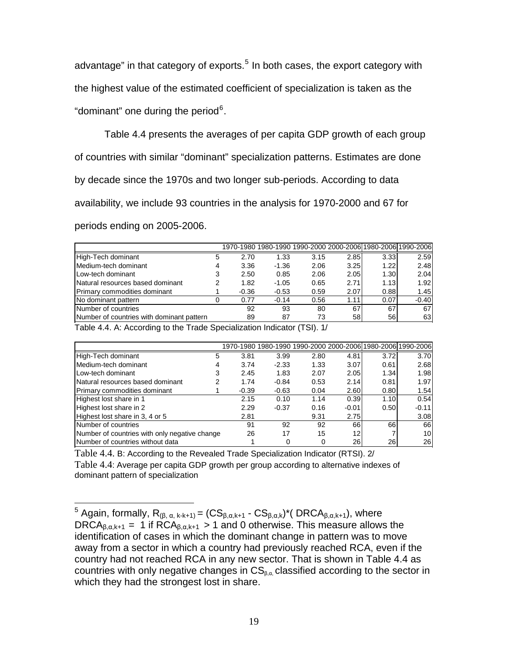advantage" in that category of exports.<sup>[5](#page-19-0)</sup> In both cases, the export category with the highest value of the estimated coefficient of specialization is taken as the "dominant" one during the period $6$ .

Table 4.4 presents the averages of per capita GDP growth of each group of countries with similar "dominant" specialization patterns. Estimates are done by decade since the 1970s and two longer sub-periods. According to data availability, we include 93 countries in the analysis for 1970-2000 and 67 for periods ending on 2005-2006.

| 5 | 2.70 | 1.33    | 3.15    |      | 2.59                                                                                                                                                                  |
|---|------|---------|---------|------|-----------------------------------------------------------------------------------------------------------------------------------------------------------------------|
|   | 3.36 | $-1.36$ | 2.06    |      | 2.48                                                                                                                                                                  |
|   | 2.50 | 0.85    | 2.06    |      | 2.04                                                                                                                                                                  |
| 2 | 1.82 | $-1.05$ | 0.65    |      | 1.92                                                                                                                                                                  |
|   |      | $-0.53$ | 0.59    |      | 1.45                                                                                                                                                                  |
|   | 0.77 | $-0.14$ |         | 1.11 | $-0.40$                                                                                                                                                               |
|   | 92   | 93      | 80      | 67   | 67                                                                                                                                                                    |
|   | 89   | 87      | 73      |      | 63                                                                                                                                                                    |
|   |      |         | $-0.36$ | 0.56 | 1970-1980 1980-1990 1990-2000 2000-2006 1980-2006 1990-2006<br>2.85<br>3.33<br>1.22<br>3.25<br>2.05<br>1.30<br>2.71<br>1.13<br>0.88<br>2.07<br>0.07<br>67<br>58<br>56 |

Table 4.4. A: According to the Trade Specialization Indicator (TSI). 1/

|                                               |   |         | 1970-1980 1980-1990 1990-2000 2000-2006 1980-2006 1990-2006 |      |                 |      |         |
|-----------------------------------------------|---|---------|-------------------------------------------------------------|------|-----------------|------|---------|
| High-Tech dominant                            | 5 | 3.81    | 3.99                                                        | 2.80 | 4.81            | 3.72 | 3.70    |
| Medium-tech dominant                          |   | 3.74    | $-2.33$                                                     | 1.33 | 3.07            | 0.61 | 2.68    |
| Low-tech dominant                             |   | 2.45    | 1.83                                                        | 2.07 | 2.05            | 1.34 | 1.98    |
| Natural resources based dominant              |   | 1.74    | $-0.84$                                                     | 0.53 | 2.14            | 0.81 | 1.97    |
| Primary commodities dominant                  |   | $-0.39$ | $-0.63$                                                     | 0.04 | 2.60            | 0.80 | 1.54    |
| Highest lost share in 1                       |   | 2.15    | 0.10                                                        | 1.14 | 0.39            | 1.10 | 0.54    |
| Highest lost share in 2                       |   | 2.29    | $-0.37$                                                     | 0.16 | $-0.01$         | 0.50 | $-0.11$ |
| Highest lost share in 3, 4 or 5               |   | 2.81    |                                                             | 9.31 | 2.75            |      | 3.08    |
| Number of countries                           |   | 91      | 92                                                          | 92   | 66              | 66   | 66      |
| Number of countries with only negative change |   | 26      | 17                                                          | 15   | 12 <sub>1</sub> |      | 10      |
| Number of countries without data              |   |         | 0                                                           |      | 26              | 26   | 26      |

Table 4.4. B: According to the Revealed Trade Specialization Indicator (RTSI). 2/ Table 4.4: Average per capita GDP growth per group according to alternative indexes of dominant pattern of specialization

<span id="page-19-1"></span><span id="page-19-0"></span> $\overline{S}$  Again, formally, R<sub>(β, α, k-k+1)</sub> =  $(\overline{CS}_{\beta,\alpha,k+1} - \overline{CS}_{\beta,\alpha,k})^*$  ( DRCA<sub>β,α,k+1</sub>), where DRCA $_{\beta,\alpha,k+1} = 1$  if RCA $_{\beta,\alpha,k+1} > 1$  and 0 otherwise. This measure allows the identification of cases in which the dominant change in pattern was to move away from a sector in which a country had previously reached RCA, even if the country had not reached RCA in any new sector. That is shown in Table 4.4 as countries with only negative changes in  $CS_{\beta,\alpha}$  classified according to the sector in which they had the strongest lost in share.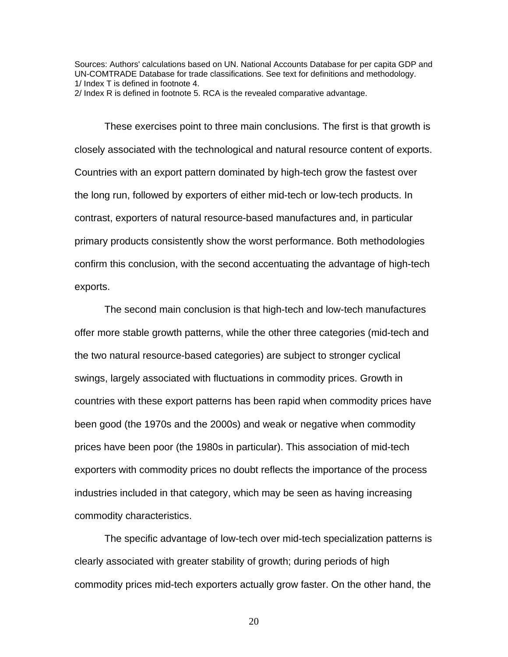Sources: Authors' calculations based on UN. National Accounts Database for per capita GDP and UN-COMTRADE Database for trade classifications. See text for definitions and methodology. 1/ Index T is defined in footnote 4.

2/ Index R is defined in footnote 5. RCA is the revealed comparative advantage.

These exercises point to three main conclusions. The first is that growth is closely associated with the technological and natural resource content of exports. Countries with an export pattern dominated by high-tech grow the fastest over the long run, followed by exporters of either mid-tech or low-tech products. In contrast, exporters of natural resource-based manufactures and, in particular primary products consistently show the worst performance. Both methodologies confirm this conclusion, with the second accentuating the advantage of high-tech exports.

The second main conclusion is that high-tech and low-tech manufactures offer more stable growth patterns, while the other three categories (mid-tech and the two natural resource-based categories) are subject to stronger cyclical swings, largely associated with fluctuations in commodity prices. Growth in countries with these export patterns has been rapid when commodity prices have been good (the 1970s and the 2000s) and weak or negative when commodity prices have been poor (the 1980s in particular). This association of mid-tech exporters with commodity prices no doubt reflects the importance of the process industries included in that category, which may be seen as having increasing commodity characteristics.

The specific advantage of low-tech over mid-tech specialization patterns is clearly associated with greater stability of growth; during periods of high commodity prices mid-tech exporters actually grow faster. On the other hand, the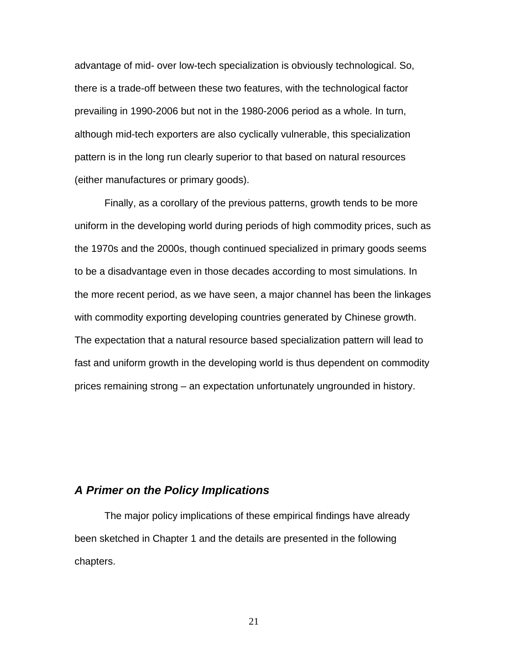advantage of mid- over low-tech specialization is obviously technological. So, there is a trade-off between these two features, with the technological factor prevailing in 1990-2006 but not in the 1980-2006 period as a whole. In turn, although mid-tech exporters are also cyclically vulnerable, this specialization pattern is in the long run clearly superior to that based on natural resources (either manufactures or primary goods).

Finally, as a corollary of the previous patterns, growth tends to be more uniform in the developing world during periods of high commodity prices, such as the 1970s and the 2000s, though continued specialized in primary goods seems to be a disadvantage even in those decades according to most simulations. In the more recent period, as we have seen, a major channel has been the linkages with commodity exporting developing countries generated by Chinese growth. The expectation that a natural resource based specialization pattern will lead to fast and uniform growth in the developing world is thus dependent on commodity prices remaining strong – an expectation unfortunately ungrounded in history.

### *A Primer on the Policy Implications*

 The major policy implications of these empirical findings have already been sketched in Chapter 1 and the details are presented in the following chapters.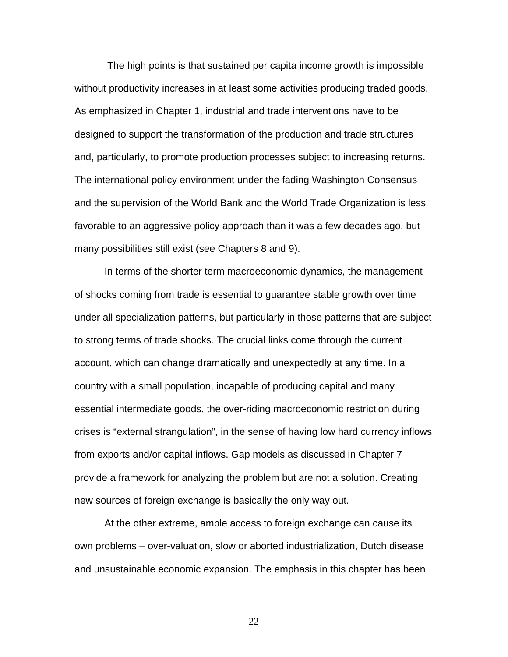The high points is that sustained per capita income growth is impossible without productivity increases in at least some activities producing traded goods. As emphasized in Chapter 1, industrial and trade interventions have to be designed to support the transformation of the production and trade structures and, particularly, to promote production processes subject to increasing returns. The international policy environment under the fading Washington Consensus and the supervision of the World Bank and the World Trade Organization is less favorable to an aggressive policy approach than it was a few decades ago, but many possibilities still exist (see Chapters 8 and 9).

In terms of the shorter term macroeconomic dynamics, the management of shocks coming from trade is essential to guarantee stable growth over time under all specialization patterns, but particularly in those patterns that are subject to strong terms of trade shocks. The crucial links come through the current account, which can change dramatically and unexpectedly at any time. In a country with a small population, incapable of producing capital and many essential intermediate goods, the over-riding macroeconomic restriction during crises is "external strangulation", in the sense of having low hard currency inflows from exports and/or capital inflows. Gap models as discussed in Chapter 7 provide a framework for analyzing the problem but are not a solution. Creating new sources of foreign exchange is basically the only way out.

At the other extreme, ample access to foreign exchange can cause its own problems – over-valuation, slow or aborted industrialization, Dutch disease and unsustainable economic expansion. The emphasis in this chapter has been